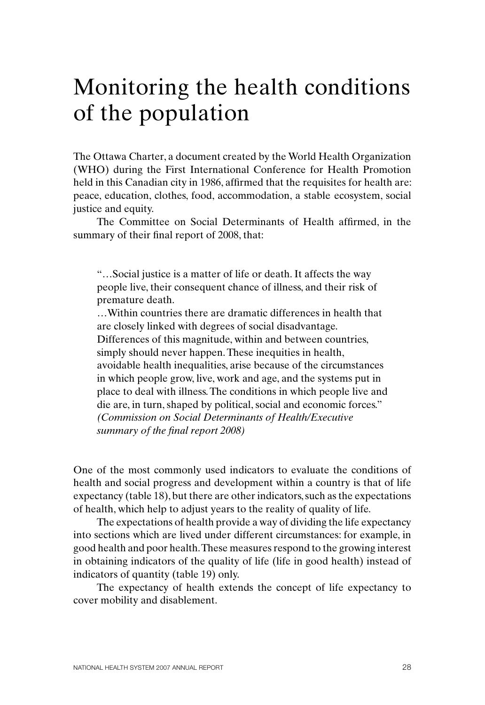# Monitoring the health conditions of the population

The Ottawa Charter, a document created by the World Health Organization (WHO) during the First International Conference for Health Promotion held in this Canadian city in 1986, affirmed that the requisites for health are: peace, education, clothes, food, accommodation, a stable ecosystem, social justice and equity.

The Committee on Social Determinants of Health affirmed, in the summary of their final report of 2008, that:

"…Social justice is a matter of life or death. It affects the way people live, their consequent chance of illness, and their risk of premature death.

…Within countries there are dramatic differences in health that are closely linked with degrees of social disadvantage. Differences of this magnitude, within and between countries, simply should never happen. These inequities in health, avoidable health inequalities, arise because of the circumstances in which people grow, live, work and age, and the systems put in place to deal with illness. The conditions in which people live and die are, in turn, shaped by political, social and economic forces." *(Commission on Social Determinants of Health/Executive summary of the final report 2008)*

One of the most commonly used indicators to evaluate the conditions of health and social progress and development within a country is that of life expectancy (table 18), but there are other indicators, such as the expectations of health, which help to adjust years to the reality of quality of life.

The expectations of health provide a way of dividing the life expectancy into sections which are lived under different circumstances: for example, in good health and poor health. These measures respond to the growing interest in obtaining indicators of the quality of life (life in good health) instead of indicators of quantity (table 19) only.

The expectancy of health extends the concept of life expectancy to cover mobility and disablement.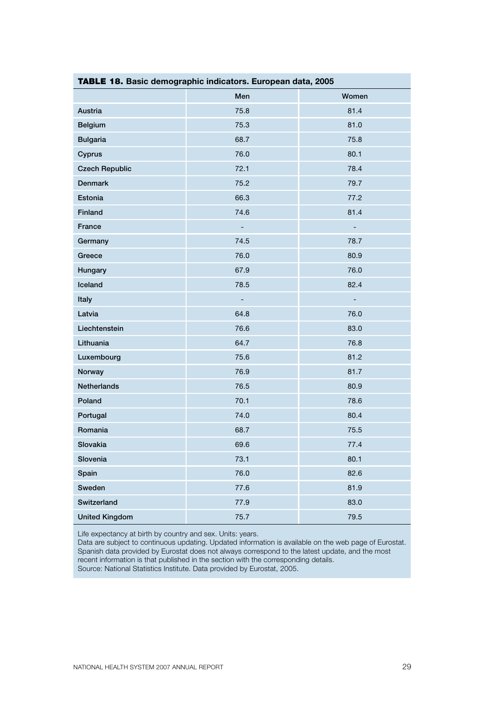| <b>TABLE 18.</b> Basic demographic indicators. European data, 2005 |      |                          |  |  |  |  |  |  |
|--------------------------------------------------------------------|------|--------------------------|--|--|--|--|--|--|
|                                                                    | Men  | Women                    |  |  |  |  |  |  |
| Austria                                                            | 75.8 | 81.4                     |  |  |  |  |  |  |
| Belgium                                                            | 75.3 | 81.0                     |  |  |  |  |  |  |
| <b>Bulgaria</b>                                                    | 68.7 | 75.8                     |  |  |  |  |  |  |
| Cyprus                                                             | 76.0 | 80.1                     |  |  |  |  |  |  |
| <b>Czech Republic</b>                                              | 72.1 | 78.4                     |  |  |  |  |  |  |
| <b>Denmark</b>                                                     | 75.2 | 79.7                     |  |  |  |  |  |  |
| Estonia                                                            | 66.3 | 77.2                     |  |  |  |  |  |  |
| Finland                                                            | 74.6 | 81.4                     |  |  |  |  |  |  |
| France                                                             | ÷,   | ÷,                       |  |  |  |  |  |  |
| Germany                                                            | 74.5 | 78.7                     |  |  |  |  |  |  |
| Greece                                                             | 76.0 | 80.9                     |  |  |  |  |  |  |
| Hungary                                                            | 67.9 | 76.0                     |  |  |  |  |  |  |
| Iceland                                                            | 78.5 | 82.4                     |  |  |  |  |  |  |
| Italy                                                              | ÷,   | $\overline{\phantom{0}}$ |  |  |  |  |  |  |
| Latvia                                                             | 64.8 | 76.0                     |  |  |  |  |  |  |
| Liechtenstein                                                      | 76.6 | 83.0                     |  |  |  |  |  |  |
| Lithuania                                                          | 64.7 | 76.8                     |  |  |  |  |  |  |
| Luxembourg                                                         | 75.6 | 81.2                     |  |  |  |  |  |  |
| Norway                                                             | 76.9 | 81.7                     |  |  |  |  |  |  |
| Netherlands                                                        | 76.5 | 80.9                     |  |  |  |  |  |  |
| Poland                                                             | 70.1 | 78.6                     |  |  |  |  |  |  |
| Portugal                                                           | 74.0 | 80.4                     |  |  |  |  |  |  |
| Romania                                                            | 68.7 | 75.5                     |  |  |  |  |  |  |
| Slovakia                                                           | 69.6 | 77.4                     |  |  |  |  |  |  |
| Slovenia                                                           | 73.1 | 80.1                     |  |  |  |  |  |  |
| Spain                                                              | 76.0 | 82.6                     |  |  |  |  |  |  |
| Sweden                                                             | 77.6 | 81.9                     |  |  |  |  |  |  |
| Switzerland                                                        | 77.9 | 83.0                     |  |  |  |  |  |  |
| <b>United Kingdom</b>                                              | 75.7 | 79.5                     |  |  |  |  |  |  |

Life expectancy at birth by country and sex. Units: years.

Data are subject to continuous updating. Updated information is available on the web page of Eurostat. Spanish data provided by Eurostat does not always correspond to the latest update, and the most recent information is that published in the section with the corresponding details. Source: National Statistics Institute. Data provided by Eurostat, 2005.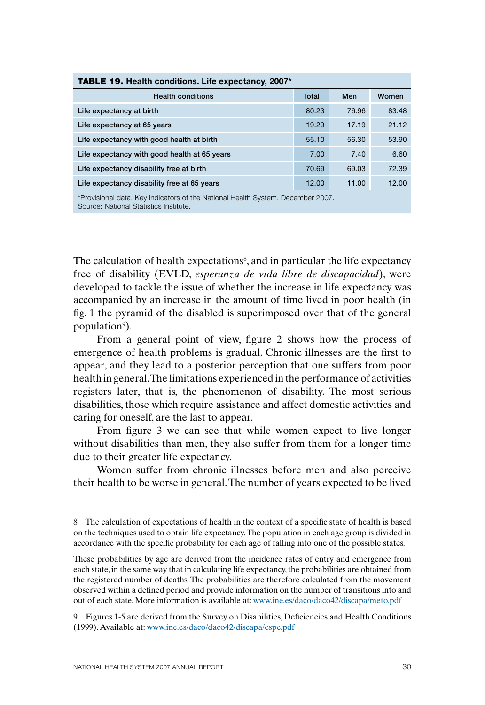| <b>TABLE 19. Health conditions. Life expectancy, 2007*</b> |       |       |       |  |  |  |  |  |  |
|------------------------------------------------------------|-------|-------|-------|--|--|--|--|--|--|
| <b>Health conditions</b>                                   | Total | Men   | Women |  |  |  |  |  |  |
| Life expectancy at birth                                   | 80.23 | 76.96 | 83.48 |  |  |  |  |  |  |
| Life expectancy at 65 years                                | 19.29 | 17.19 | 21.12 |  |  |  |  |  |  |
| Life expectancy with good health at birth                  | 55.10 | 56.30 | 53.90 |  |  |  |  |  |  |
| Life expectancy with good health at 65 years               | 7.00  | 7.40  | 6.60  |  |  |  |  |  |  |
| Life expectancy disability free at birth                   | 70.69 | 69.03 | 72.39 |  |  |  |  |  |  |
| Life expectancy disability free at 65 years                | 12.00 | 11.00 | 12.00 |  |  |  |  |  |  |

\*Provisional data. Key indicators of the National Health System, December 2007. Source: National Statistics Institute.

The calculation of health expectations<sup>8</sup>, and in particular the life expectancy free of disability (EVLD, *esperanza de vida libre de discapacidad*), were developed to tackle the issue of whether the increase in life expectancy was accompanied by an increase in the amount of time lived in poor health (in fig. 1 the pyramid of the disabled is superimposed over that of the general population<sup>9</sup>).

From a general point of view, figure 2 shows how the process of emergence of health problems is gradual. Chronic illnesses are the first to appear, and they lead to a posterior perception that one suffers from poor health in general. The limitations experienced in the performance of activities registers later, that is, the phenomenon of disability. The most serious disabilities, those which require assistance and affect domestic activities and caring for oneself, are the last to appear.

From figure 3 we can see that while women expect to live longer without disabilities than men, they also suffer from them for a longer time due to their greater life expectancy.

Women suffer from chronic illnesses before men and also perceive their health to be worse in general. The number of years expected to be lived

8 The calculation of expectations of health in the context of a specific state of health is based on the techniques used to obtain life expectancy. The population in each age group is divided in accordance with the specific probability for each age of falling into one of the possible states.

These probabilities by age are derived from the incidence rates of entry and emergence from each state, in the same way that in calculating life expectancy, the probabilities are obtained from the registered number of deaths. The probabilities are therefore calculated from the movement observed within a defined period and provide information on the number of transitions into and out of each state. More information is available at: www.ine.es/daco/daco42/discapa/meto.pdf

9 Figures 1-5 are derived from the Survey on Disabilities, Deficiencies and Health Conditions (1999). Available at: www.ine.es/daco/daco42/discapa/espe.pdf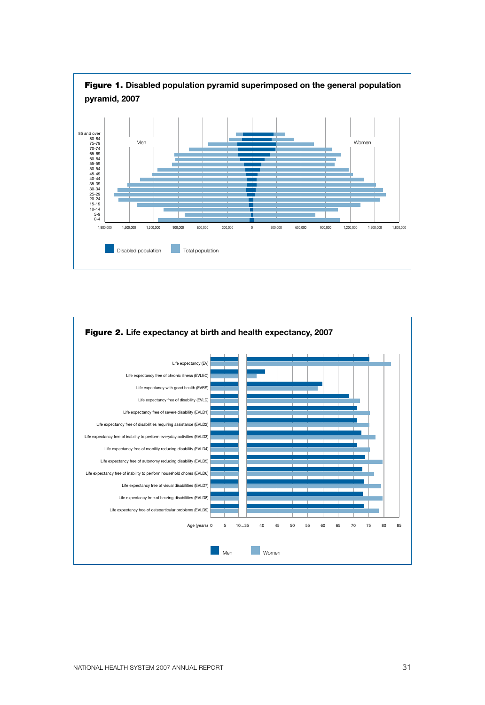

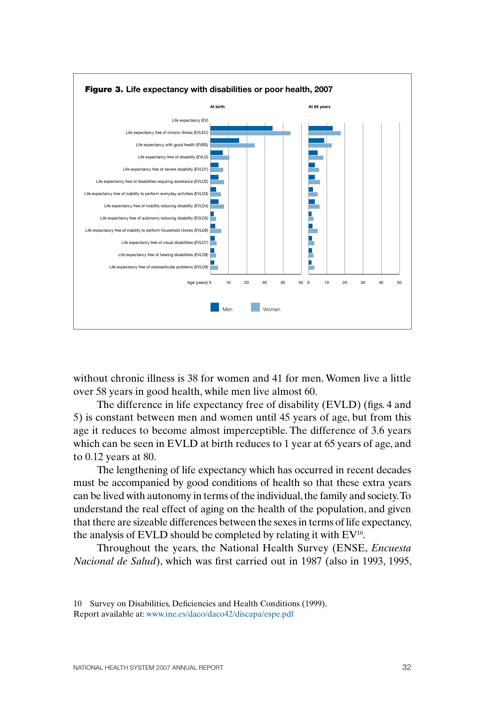

without chronic illness is 38 for women and 41 for men. Women live a little over 58 years in good health, while men live almost 60.

The difference in life expectancy free of disability (EVLD) (figs. 4 and 5) is constant between men and women until 45 years of age, but from this age it reduces to become almost imperceptible. The difference of 3.6 years which can be seen in EVLD at birth reduces to 1 year at 65 years of age, and to 0.12 years at 80.

The lengthening of life expectancy which has occurred in recent decades must be accompanied by good conditions of health so that these extra years can be lived with autonomy in terms of the individual, the family and society. To understand the real effect of aging on the health of the population, and given that there are sizeable differences between the sexes in terms of life expectancy, the analysis of EVLD should be completed by relating it with EV10.

Throughout the years, the National Health Survey (ENSE, *Encuesta Nacional de Salud*), which was first carried out in 1987 (also in 1993, 1995,

<sup>10</sup> Survey on Disabilities, Deficiencies and Health Conditions (1999). Report available at: www.ine.es/daco/daco42/discapa/espe.pdf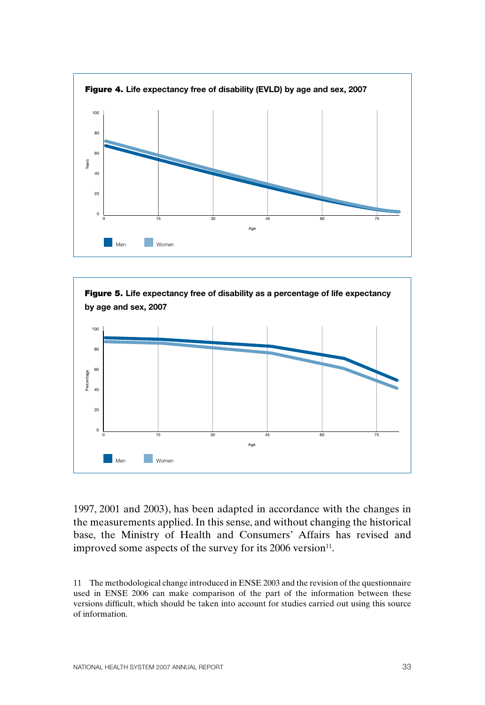



1997, 2001 and 2003), has been adapted in accordance with the changes in the measurements applied. In this sense, and without changing the historical base, the Ministry of Health and Consumers' Affairs has revised and improved some aspects of the survey for its 2006 version<sup>11</sup>.

11 The methodological change introduced in ENSE 2003 and the revision of the questionnaire used in ENSE 2006 can make comparison of the part of the information between these versions difficult, which should be taken into account for studies carried out using this source of information.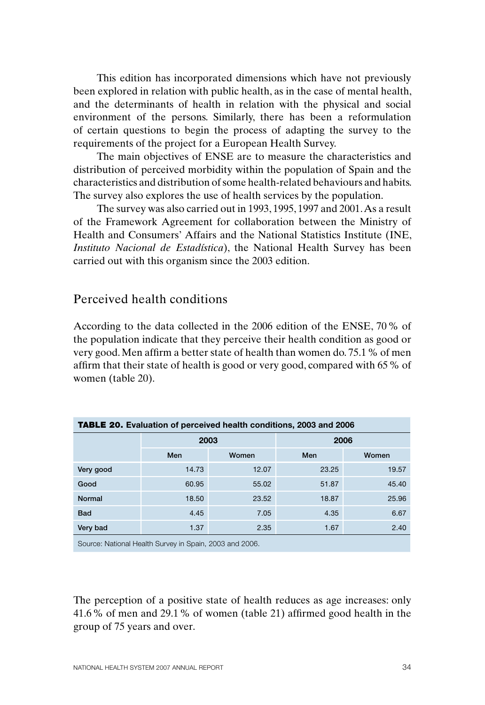This edition has incorporated dimensions which have not previously been explored in relation with public health, as in the case of mental health, and the determinants of health in relation with the physical and social environment of the persons. Similarly, there has been a reformulation of certain questions to begin the process of adapting the survey to the requirements of the project for a European Health Survey.

The main objectives of ENSE are to measure the characteristics and distribution of perceived morbidity within the population of Spain and the characteristics and distribution of some health-related behaviours and habits. The survey also explores the use of health services by the population.

The survey was also carried out in 1993, 1995, 1997 and 2001. As a result of the Framework Agreement for collaboration between the Ministry of Health and Consumers' Affairs and the National Statistics Institute (INE, *Instituto Nacional de Estadística*), the National Health Survey has been carried out with this organism since the 2003 edition.

### Perceived health conditions

According to the data collected in the 2006 edition of the ENSE, 70% of the population indicate that they perceive their health condition as good or very good. Men affirm a better state of health than women do. 75.1% of men affirm that their state of health is good or very good, compared with 65% of women (table 20).

| <b>TABLE 20.</b> Evaluation of perceived health conditions, 2003 and 2006 |       |       |       |       |  |  |  |  |  |  |
|---------------------------------------------------------------------------|-------|-------|-------|-------|--|--|--|--|--|--|
|                                                                           | 2003  |       | 2006  |       |  |  |  |  |  |  |
|                                                                           | Men   | Women | Men   | Women |  |  |  |  |  |  |
| Very good                                                                 | 14.73 | 12.07 | 23.25 | 19.57 |  |  |  |  |  |  |
| Good                                                                      | 60.95 | 55.02 | 51.87 | 45.40 |  |  |  |  |  |  |
| Normal                                                                    | 18.50 | 23.52 | 18.87 | 25.96 |  |  |  |  |  |  |
| <b>Bad</b>                                                                | 4.45  | 7.05  | 4.35  | 6.67  |  |  |  |  |  |  |
| Very bad                                                                  | 1.37  | 2.35  | 1.67  | 2.40  |  |  |  |  |  |  |
| Source: National Health Survey in Spain, 2003 and 2006.                   |       |       |       |       |  |  |  |  |  |  |

The perception of a positive state of health reduces as age increases: only 41.6% of men and 29.1% of women (table 21) affirmed good health in the group of 75 years and over.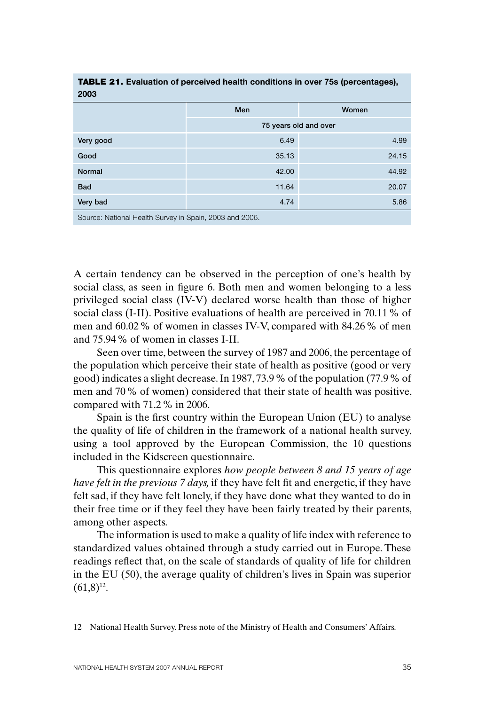| 2003                                                     |                       |       |  |  |  |  |  |  |
|----------------------------------------------------------|-----------------------|-------|--|--|--|--|--|--|
|                                                          | Men                   | Women |  |  |  |  |  |  |
|                                                          | 75 years old and over |       |  |  |  |  |  |  |
| Very good                                                | 6.49                  | 4.99  |  |  |  |  |  |  |
| Good                                                     | 35.13                 | 24.15 |  |  |  |  |  |  |
| Normal                                                   | 42.00                 | 44.92 |  |  |  |  |  |  |
| <b>Bad</b>                                               | 11.64                 | 20.07 |  |  |  |  |  |  |
| Very bad                                                 | 4.74                  | 5.86  |  |  |  |  |  |  |
| $0.1000$ and $0.000$ and $0.000$ and $0.000$ and $0.000$ |                       |       |  |  |  |  |  |  |

TABLE 21. **Evaluation of perceived health conditions in over 75s (percentages),** 

Source: National Health Survey in Spain, 2003 and 2006.

A certain tendency can be observed in the perception of one's health by social class, as seen in figure 6. Both men and women belonging to a less privileged social class (IV-V) declared worse health than those of higher social class (I-II). Positive evaluations of health are perceived in 70.11% of men and 60.02% of women in classes IV-V, compared with 84.26% of men and 75.94% of women in classes I-II.

Seen over time, between the survey of 1987 and 2006, the percentage of the population which perceive their state of health as positive (good or very good) indicates a slight decrease. In 1987, 73.9% of the population (77.9% of men and 70% of women) considered that their state of health was positive, compared with 71.2% in 2006.

Spain is the first country within the European Union (EU) to analyse the quality of life of children in the framework of a national health survey, using a tool approved by the European Commission, the 10 questions included in the Kidscreen questionnaire.

This questionnaire explores *how people between 8 and 15 years of age have felt in the previous 7 days,* if they have felt fit and energetic, if they have felt sad, if they have felt lonely, if they have done what they wanted to do in their free time or if they feel they have been fairly treated by their parents, among other aspects.

The information is used to make a quality of life index with reference to standardized values obtained through a study carried out in Europe. These readings reflect that, on the scale of standards of quality of life for children in the EU (50), the average quality of children's lives in Spain was superior  $(61.8)^{12}$ .

12 National Health Survey. Press note of the Ministry of Health and Consumers' Affairs.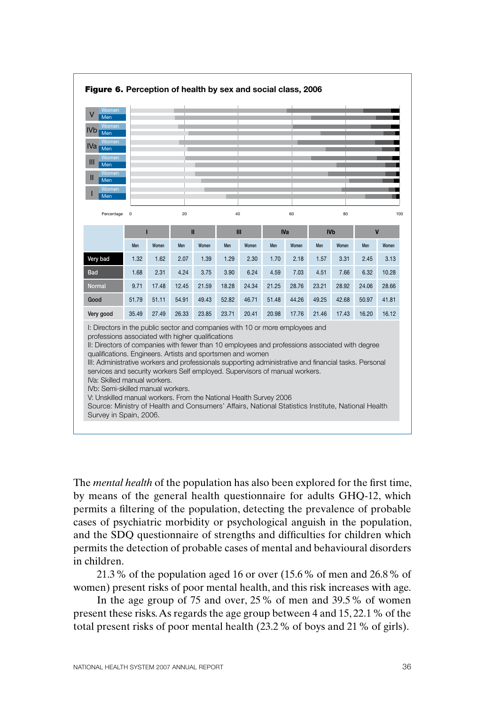

The *mental health* of the population has also been explored for the first time, by means of the general health questionnaire for adults GHQ-12, which permits a filtering of the population, detecting the prevalence of probable cases of psychiatric morbidity or psychological anguish in the population, and the SDQ questionnaire of strengths and difficulties for children which permits the detection of probable cases of mental and behavioural disorders in children.

21.3% of the population aged 16 or over (15.6% of men and 26.8% of women) present risks of poor mental health, and this risk increases with age.

In the age group of 75 and over, 25% of men and 39.5% of women present these risks. As regards the age group between 4 and 15, 22.1% of the total present risks of poor mental health (23.2% of boys and 21% of girls).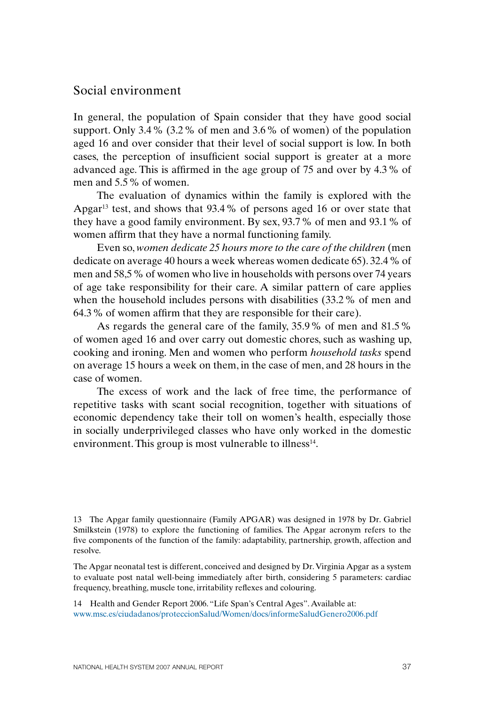#### Social environment

In general, the population of Spain consider that they have good social support. Only 3.4% (3.2% of men and 3.6% of women) of the population aged 16 and over consider that their level of social support is low. In both cases, the perception of insufficient social support is greater at a more advanced age. This is affirmed in the age group of 75 and over by 4.3% of men and 5.5% of women.

The evaluation of dynamics within the family is explored with the Apgar<sup>13</sup> test, and shows that  $93.4\%$  of persons aged 16 or over state that they have a good family environment. By sex, 93.7% of men and 93.1% of women affirm that they have a normal functioning family.

Even so, *women dedicate 25 hours more to the care of the children* (men dedicate on average 40 hours a week whereas women dedicate 65). 32.4% of men and 58,5% of women who live in households with persons over 74 years of age take responsibility for their care. A similar pattern of care applies when the household includes persons with disabilities (33.2 % of men and 64.3% of women affirm that they are responsible for their care).

As regards the general care of the family, 35.9% of men and 81.5% of women aged 16 and over carry out domestic chores, such as washing up, cooking and ironing. Men and women who perform *household tasks* spend on average 15 hours a week on them, in the case of men, and 28 hours in the case of women.

The excess of work and the lack of free time, the performance of repetitive tasks with scant social recognition, together with situations of economic dependency take their toll on women's health, especially those in socially underprivileged classes who have only worked in the domestic environment. This group is most vulnerable to illness<sup>14</sup>.

13 The Apgar family questionnaire (Family APGAR) was designed in 1978 by Dr. Gabriel Smilkstein (1978) to explore the functioning of families. The Apgar acronym refers to the five components of the function of the family: adaptability, partnership, growth, affection and resolve.

The Apgar neonatal test is different, conceived and designed by Dr.Virginia Apgar as a system to evaluate post natal well-being immediately after birth, considering 5 parameters: cardiac frequency, breathing, muscle tone, irritability reflexes and colouring.

14 Health and Gender Report 2006. "Life Span's Central Ages". Available at: www.msc.es/ciudadanos/proteccionSalud/Women/docs/informeSaludGenero2006.pdf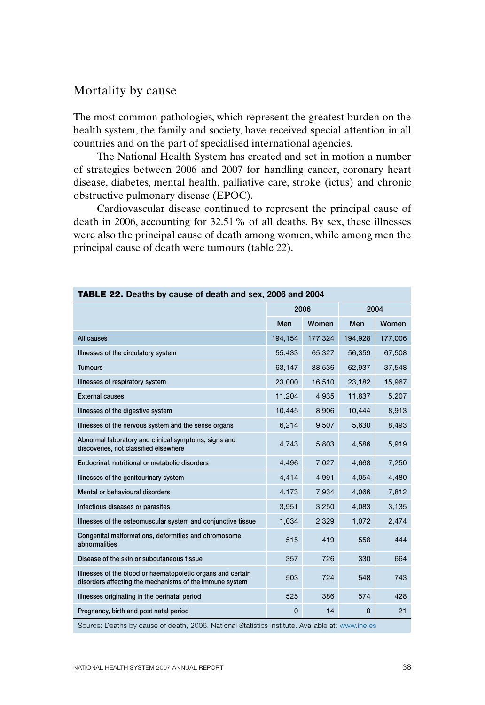## Mortality by cause

The most common pathologies, which represent the greatest burden on the health system, the family and society, have received special attention in all countries and on the part of specialised international agencies.

The National Health System has created and set in motion a number of strategies between 2006 and 2007 for handling cancer, coronary heart disease, diabetes, mental health, palliative care, stroke (ictus) and chronic obstructive pulmonary disease (EPOC).

Cardiovascular disease continued to represent the principal cause of death in 2006, accounting for 32.51% of all deaths. By sex, these illnesses were also the principal cause of death among women, while among men the principal cause of death were tumours (table 22).

| TABLE 22. Deaths by cause of death and sex, 2006 and 2004                                                              |          |         |          |         |
|------------------------------------------------------------------------------------------------------------------------|----------|---------|----------|---------|
|                                                                                                                        | 2006     |         | 2004     |         |
|                                                                                                                        | Men      | Women   | Men      | Women   |
| All causes                                                                                                             | 194,154  | 177,324 | 194,928  | 177,006 |
| Illnesses of the circulatory system                                                                                    | 55,433   | 65,327  | 56,359   | 67,508  |
| <b>Tumours</b>                                                                                                         | 63,147   | 38,536  | 62,937   | 37,548  |
| Illnesses of respiratory system                                                                                        | 23.000   | 16.510  | 23.182   | 15,967  |
| <b>External causes</b>                                                                                                 | 11,204   | 4,935   | 11,837   | 5,207   |
| Illnesses of the digestive system                                                                                      | 10,445   | 8,906   | 10,444   | 8,913   |
| Illnesses of the nervous system and the sense organs                                                                   | 6,214    | 9,507   | 5,630    | 8,493   |
| Abnormal laboratory and clinical symptoms, signs and<br>discoveries, not classified elsewhere                          | 4,743    | 5,803   | 4,586    | 5,919   |
| Endocrinal, nutritional or metabolic disorders                                                                         | 4,496    | 7,027   | 4,668    | 7,250   |
| Illnesses of the genitourinary system                                                                                  | 4,414    | 4,991   | 4,054    | 4,480   |
| Mental or behavioural disorders                                                                                        | 4,173    | 7,934   | 4,066    | 7,812   |
| Infectious diseases or parasites                                                                                       | 3,951    | 3,250   | 4,083    | 3,135   |
| Illnesses of the osteomuscular system and conjunctive tissue                                                           | 1,034    | 2,329   | 1,072    | 2,474   |
| Congenital malformations, deformities and chromosome<br>abnormalities                                                  | 515      | 419     | 558      | 444     |
| Disease of the skin or subcutaneous tissue                                                                             | 357      | 726     | 330      | 664     |
| Illnesses of the blood or haematopoietic organs and certain<br>disorders affecting the mechanisms of the immune system | 503      | 724     | 548      | 743     |
| Illnesses originating in the perinatal period                                                                          | 525      | 386     | 574      | 428     |
| Pregnancy, birth and post natal period                                                                                 | $\Omega$ | 14      | $\Omega$ | 21      |
| Source: Deaths by cause of death, 2006. National Statistics Institute. Available at: www.ine.es                        |          |         |          |         |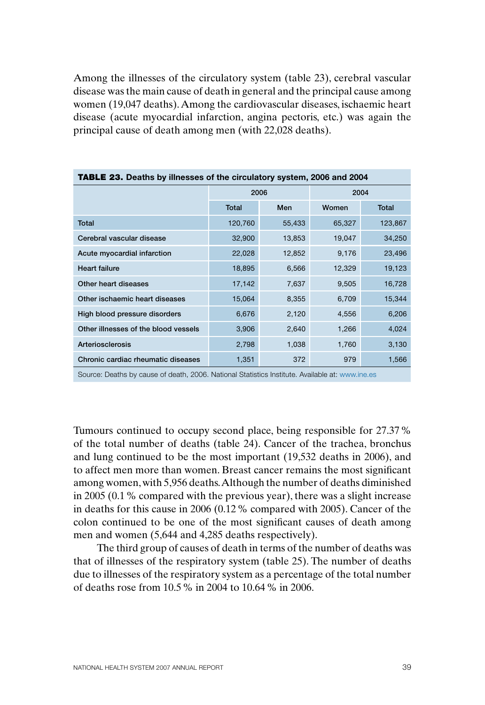Among the illnesses of the circulatory system (table 23), cerebral vascular disease was the main cause of death in general and the principal cause among women (19,047 deaths). Among the cardiovascular diseases, ischaemic heart disease (acute myocardial infarction, angina pectoris, etc.) was again the principal cause of death among men (with 22,028 deaths).

| <b>TABLE 23.</b> Deaths by illnesses of the circulatory system, 2006 and 2004 |              |        |        |              |  |  |  |  |
|-------------------------------------------------------------------------------|--------------|--------|--------|--------------|--|--|--|--|
|                                                                               |              | 2006   |        | 2004         |  |  |  |  |
|                                                                               | <b>Total</b> | Men    |        | <b>Total</b> |  |  |  |  |
| <b>Total</b>                                                                  | 120,760      | 55,433 | 65,327 | 123,867      |  |  |  |  |
| Cerebral vascular disease                                                     | 32,900       | 13,853 | 19,047 | 34,250       |  |  |  |  |
| Acute myocardial infarction                                                   | 22,028       | 12,852 | 9,176  | 23,496       |  |  |  |  |
| <b>Heart failure</b>                                                          | 18,895       | 6,566  | 12,329 | 19,123       |  |  |  |  |
| Other heart diseases                                                          | 17,142       | 7,637  | 9,505  | 16,728       |  |  |  |  |
| Other ischaemic heart diseases                                                | 15,064       | 8,355  | 6,709  | 15,344       |  |  |  |  |
| High blood pressure disorders                                                 | 6,676        | 2,120  | 4,556  | 6,206        |  |  |  |  |
| Other illnesses of the blood vessels                                          | 3,906        | 2,640  | 1,266  | 4,024        |  |  |  |  |
| Arteriosclerosis                                                              | 2,798        | 1,038  | 1,760  | 3,130        |  |  |  |  |
| Chronic cardiac rheumatic diseases                                            | 1,351        | 372    | 979    | 1,566        |  |  |  |  |

Source: Deaths by cause of death, 2006. National Statistics Institute. Available at: www.ine.es

Tumours continued to occupy second place, being responsible for 27.37% of the total number of deaths (table 24). Cancer of the trachea, bronchus and lung continued to be the most important (19,532 deaths in 2006), and to affect men more than women. Breast cancer remains the most significant among women, with 5,956 deaths. Although the number of deaths diminished in 2005 (0.1% compared with the previous year), there was a slight increase in deaths for this cause in 2006 (0.12% compared with 2005). Cancer of the colon continued to be one of the most significant causes of death among men and women (5,644 and 4,285 deaths respectively).

The third group of causes of death in terms of the number of deaths was that of illnesses of the respiratory system (table 25). The number of deaths due to illnesses of the respiratory system as a percentage of the total number of deaths rose from 10.5% in 2004 to 10.64% in 2006.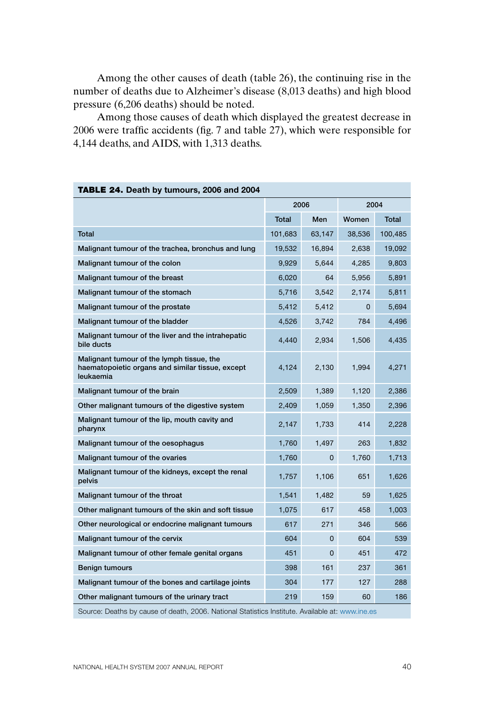Among the other causes of death (table 26), the continuing rise in the number of deaths due to Alzheimer's disease (8,013 deaths) and high blood pressure (6,206 deaths) should be noted.

Among those causes of death which displayed the greatest decrease in 2006 were traffic accidents (fig. 7 and table 27), which were responsible for 4,144 deaths, and AIDS, with 1,313 deaths.

| <b>IABLE 24.</b> Death by tumours, 2006 and 2004                                                           |              |        |          |              |
|------------------------------------------------------------------------------------------------------------|--------------|--------|----------|--------------|
|                                                                                                            | 2006         |        | 2004     |              |
|                                                                                                            | <b>Total</b> | Men    | Women    | <b>Total</b> |
| <b>Total</b>                                                                                               | 101,683      | 63,147 | 38,536   | 100,485      |
| Malignant tumour of the trachea, bronchus and lung                                                         | 19,532       | 16,894 | 2,638    | 19,092       |
| Malignant tumour of the colon                                                                              | 9.929        | 5.644  | 4.285    | 9,803        |
| Malignant tumour of the breast                                                                             | 6,020        | 64     | 5,956    | 5,891        |
| Malignant tumour of the stomach                                                                            | 5,716        | 3,542  | 2,174    | 5,811        |
| Malignant tumour of the prostate                                                                           | 5,412        | 5.412  | $\Omega$ | 5.694        |
| Malignant tumour of the bladder                                                                            | 4,526        | 3,742  | 784      | 4,496        |
| Malignant tumour of the liver and the intrahepatic<br>bile ducts                                           | 4.440        | 2,934  | 1,506    | 4.435        |
| Malignant tumour of the lymph tissue, the<br>haematopoietic organs and similar tissue, except<br>leukaemia | 4,124        | 2,130  | 1,994    | 4,271        |
| Malignant tumour of the brain                                                                              | 2,509        | 1,389  | 1,120    | 2,386        |
| Other malignant tumours of the digestive system                                                            | 2,409        | 1,059  | 1,350    | 2,396        |
| Malignant tumour of the lip, mouth cavity and<br>pharynx                                                   | 2,147        | 1,733  | 414      | 2,228        |
| Malignant tumour of the oesophagus                                                                         | 1,760        | 1,497  | 263      | 1,832        |
| Malignant tumour of the ovaries                                                                            | 1,760        | 0      | 1,760    | 1,713        |
| Malignant tumour of the kidneys, except the renal<br>pelvis                                                | 1,757        | 1,106  | 651      | 1,626        |
| Malignant tumour of the throat                                                                             | 1,541        | 1,482  | 59       | 1,625        |
| Other malignant tumours of the skin and soft tissue                                                        | 1,075        | 617    | 458      | 1,003        |
| Other neurological or endocrine malignant tumours                                                          | 617          | 271    | 346      | 566          |
| Malignant tumour of the cervix                                                                             | 604          | 0      | 604      | 539          |
| Malignant tumour of other female genital organs                                                            | 451          | 0      | 451      | 472          |
| <b>Benign tumours</b>                                                                                      | 398          | 161    | 237      | 361          |
| Malignant tumour of the bones and cartilage joints                                                         | 304          | 177    | 127      | 288          |
| Other malignant tumours of the urinary tract                                                               | 219          | 159    | 60       | 186          |

# TABLE 24. **Death by tumours, 2006 and 2004**

Source: Deaths by cause of death, 2006. National Statistics Institute. Available at: www.ine.es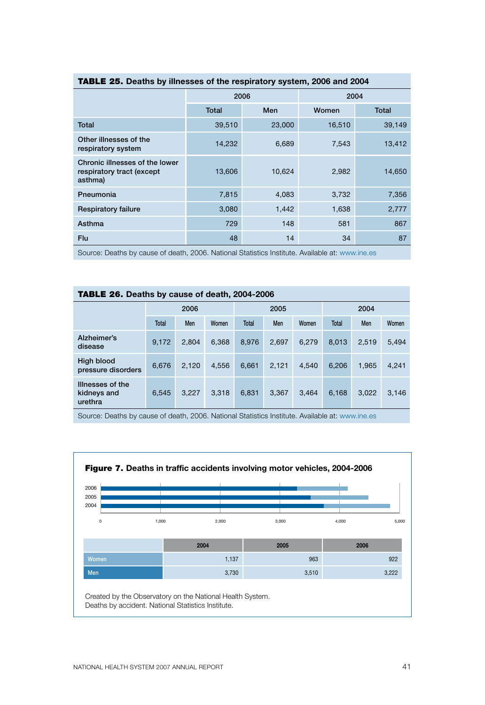|                                                                        | 2006         |        | 2004   |        |  |  |  |  |  |  |
|------------------------------------------------------------------------|--------------|--------|--------|--------|--|--|--|--|--|--|
|                                                                        | <b>Total</b> | Men    | Women  | Total  |  |  |  |  |  |  |
| Total                                                                  | 39,510       | 23,000 | 16,510 | 39,149 |  |  |  |  |  |  |
| Other illnesses of the<br>respiratory system                           | 14,232       | 6,689  | 7,543  | 13,412 |  |  |  |  |  |  |
| Chronic illnesses of the lower<br>respiratory tract (except<br>asthma) | 13,606       | 10,624 | 2,982  | 14,650 |  |  |  |  |  |  |
| Pneumonia                                                              | 7,815        | 4,083  | 3,732  | 7,356  |  |  |  |  |  |  |
| <b>Respiratory failure</b>                                             | 3,080        | 1,442  | 1,638  | 2,777  |  |  |  |  |  |  |
| Asthma                                                                 | 729          | 148    | 581    | 867    |  |  |  |  |  |  |
| Flu                                                                    | 48           | 14     | 34     | 87     |  |  |  |  |  |  |

### TABLE 25. **Deaths by illnesses of the respiratory system, 2006 and 2004**

Source: Deaths by cause of death, 2006. National Statistics Institute. Available at: www.ine.es

| <b>TABLE 26.</b> Deaths by cause of death, 2004-2006 |  |
|------------------------------------------------------|--|
|                                                      |  |

|                                            | 2006  |       |       |       | 2005  |       | 2004  |       |       |  |
|--------------------------------------------|-------|-------|-------|-------|-------|-------|-------|-------|-------|--|
|                                            | Total | Men   | Women | Total | Men   | Women | Total | Men   | Women |  |
| Alzheimer's<br>disease                     | 9,172 | 2.804 | 6.368 | 8.976 | 2.697 | 6.279 | 8.013 | 2.519 | 5,494 |  |
| High blood<br>pressure disorders           | 6.676 | 2.120 | 4.556 | 6.661 | 2,121 | 4.540 | 6.206 | 1.965 | 4,241 |  |
| Illnesses of the<br>kidneys and<br>urethra | 6,545 | 3,227 | 3,318 | 6,831 | 3,367 | 3.464 | 6.168 | 3.022 | 3,146 |  |

Source: Deaths by cause of death, 2006. National Statistics Institute. Available at: www.ine.es

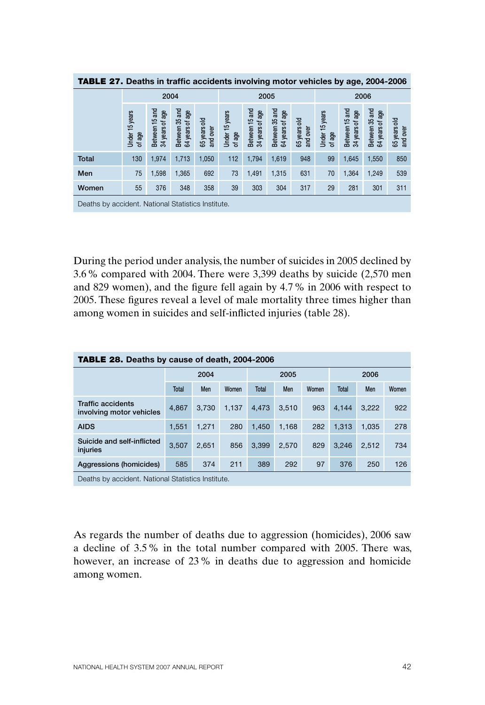| .<br>Peach in called abolacing involving motor vehicles by age, Lou- Loud |                          |                                   |                                   |                           |                          |                                   |                                      |                           |                          |                                   |                                   |                          |
|---------------------------------------------------------------------------|--------------------------|-----------------------------------|-----------------------------------|---------------------------|--------------------------|-----------------------------------|--------------------------------------|---------------------------|--------------------------|-----------------------------------|-----------------------------------|--------------------------|
|                                                                           |                          |                                   | 2004                              |                           |                          | 2005                              |                                      |                           |                          | 2006                              |                                   |                          |
|                                                                           | Under 15 years<br>of age | Between 15 and<br>34 years of age | Between 35 and<br>64 years of age | 꽁<br>65 years<br>and over | Under 15 years<br>of age | Between 15 and<br>34 years of age | Between 35 and<br>of age<br>64 years | 꽁<br>65 years<br>and over | Under 15 years<br>of age | Between 15 and<br>34 years of age | Between 35 and<br>64 years of age | 65 years old<br>and over |
| <b>Total</b>                                                              | 130                      | 1,974                             | 1,713                             | 1,050                     | 112                      | 1,794                             | 1,619                                | 948                       | 99                       | 1,645                             | 1,550                             | 850                      |
| Men                                                                       | 75                       | 1,598                             | 1,365                             | 692                       | 73                       | 1,491                             | 1,315                                | 631                       | 70                       | 1,364                             | 1,249                             | 539                      |
| Women                                                                     | 55                       | 376                               | 348                               | 358                       | 39                       | 303                               | 304                                  | 317                       | 29                       | 281                               | 301                               | 311                      |
| Deaths by accident National Statistics Institute                          |                          |                                   |                                   |                           |                          |                                   |                                      |                           |                          |                                   |                                   |                          |

TABLE 27. **Deaths in traffic accidents involving motor vehicles by age, 2004-2006**

Deaths by accident. National Statistics Institute.

During the period under analysis, the number of suicides in 2005 declined by 3.6% compared with 2004. There were 3,399 deaths by suicide (2,570 men and 829 women), and the figure fell again by 4.7% in 2006 with respect to 2005. These figures reveal a level of male mortality three times higher than among women in suicides and self-inflicted injuries (table 28).

| <b>TABLE 28. Deaths by cause of death, 2004-2006</b> |              |       |       |       |       |       |       |       |       |  |  |
|------------------------------------------------------|--------------|-------|-------|-------|-------|-------|-------|-------|-------|--|--|
|                                                      | 2004         |       |       |       | 2005  |       | 2006  |       |       |  |  |
|                                                      | <b>Total</b> | Men   | Women | Total | Men   | Women | Total | Men   | Women |  |  |
| <b>Traffic accidents</b><br>involving motor vehicles | 4.867        | 3.730 | 1.137 | 4.473 | 3.510 | 963   | 4.144 | 3.222 | 922   |  |  |
| <b>AIDS</b>                                          | 1.551        | 1.271 | 280   | 1.450 | 1.168 | 282   | 1.313 | 1.035 | 278   |  |  |
| Suicide and self-inflicted<br>injuries               | 3.507        | 2.651 | 856   | 3.399 | 2.570 | 829   | 3.246 | 2.512 | 734   |  |  |
| Aggressions (homicides)                              | 585          | 374   | 211   | 389   | 292   | 97    | 376   | 250   | 126   |  |  |
| Deaths by accident. National Statistics Institute.   |              |       |       |       |       |       |       |       |       |  |  |

As regards the number of deaths due to aggression (homicides), 2006 saw a decline of 3.5% in the total number compared with 2005. There was, however, an increase of 23% in deaths due to aggression and homicide among women.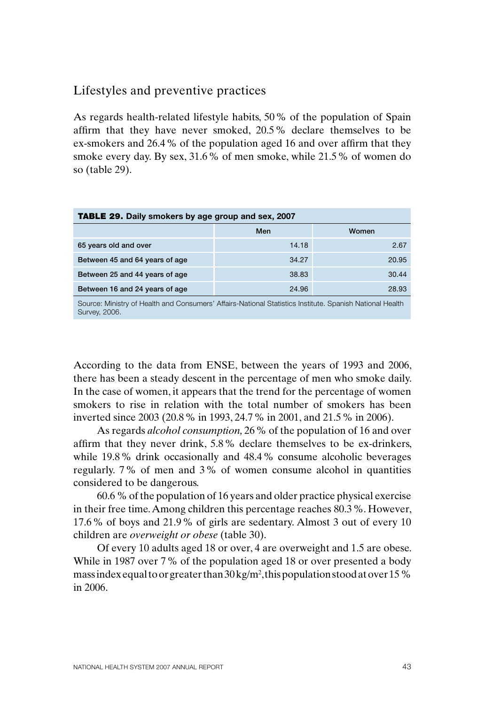## Lifestyles and preventive practices

As regards health-related lifestyle habits, 50% of the population of Spain affirm that they have never smoked, 20.5% declare themselves to be ex-smokers and 26.4% of the population aged 16 and over affirm that they smoke every day. By sex, 31.6% of men smoke, while 21.5% of women do so (table 29).

| <b>TABLE 29.</b> Daily smokers by age group and sex, 2007                                                                                                                                                                        |       |       |  |  |  |  |
|----------------------------------------------------------------------------------------------------------------------------------------------------------------------------------------------------------------------------------|-------|-------|--|--|--|--|
|                                                                                                                                                                                                                                  | Men   | Women |  |  |  |  |
| 65 years old and over                                                                                                                                                                                                            | 14.18 | 2.67  |  |  |  |  |
| Between 45 and 64 years of age                                                                                                                                                                                                   | 34.27 | 20.95 |  |  |  |  |
| Between 25 and 44 years of age                                                                                                                                                                                                   | 38.83 | 30.44 |  |  |  |  |
| Between 16 and 24 years of age                                                                                                                                                                                                   | 24.96 | 28.93 |  |  |  |  |
| $\bigcap$ . If you can be a second to a second the second through the second through the second terms of the second terms of the second terms of the second terms of the second terms of the second terms of the second terms of |       |       |  |  |  |  |

Source: Ministry of Health and Consumers' Affairs-National Statistics Institute. Spanish National Health Survey, 2006.

According to the data from ENSE, between the years of 1993 and 2006, there has been a steady descent in the percentage of men who smoke daily. In the case of women, it appears that the trend for the percentage of women smokers to rise in relation with the total number of smokers has been inverted since 2003 (20.8% in 1993, 24.7% in 2001, and 21.5% in 2006).

As regards *alcohol consumption,* 26% of the population of 16 and over affirm that they never drink, 5.8% declare themselves to be ex-drinkers, while 19.8% drink occasionally and 48.4% consume alcoholic beverages regularly. 7% of men and 3% of women consume alcohol in quantities considered to be dangerous.

60.6 % of the population of 16 years and older practice physical exercise in their free time. Among children this percentage reaches 80.3%. However, 17.6% of boys and 21.9% of girls are sedentary. Almost 3 out of every 10 children are *overweight or obese* (table 30).

Of every 10 adults aged 18 or over, 4 are overweight and 1.5 are obese. While in 1987 over 7% of the population aged 18 or over presented a body mass index equal to or greater than 30 kg/m<sup>2</sup>, this population stood at over 15 % in 2006.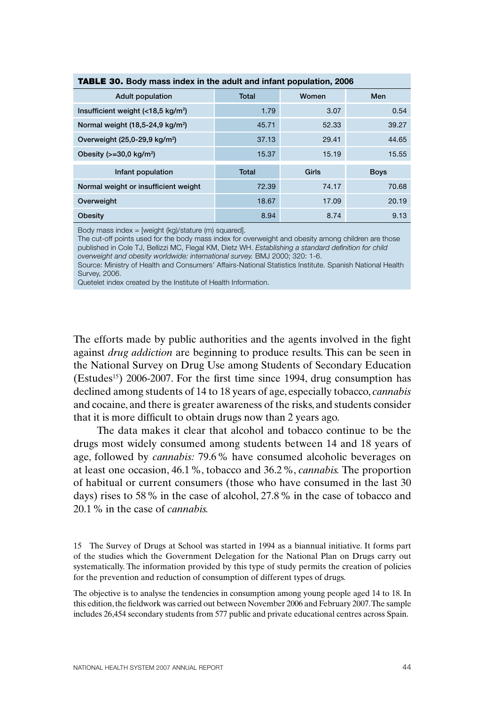| <b>INDLE OV.</b> Douy mass muck in the addit and imail population, 2000 |       |       |             |  |  |  |
|-------------------------------------------------------------------------|-------|-------|-------------|--|--|--|
| <b>Adult population</b>                                                 | Total | Women | Men         |  |  |  |
| Insufficient weight $\left($ <18,5 kg/m <sup>2</sup> )                  | 1.79  | 3.07  | 0.54        |  |  |  |
| Normal weight (18,5-24,9 kg/m <sup>2</sup> )                            | 45.71 | 52.33 | 39.27       |  |  |  |
| Overweight (25,0-29,9 kg/m <sup>2</sup> )                               | 37.13 | 29.41 | 44.65       |  |  |  |
| Obesity $(>=30.0 \text{ kg/m}^2)$                                       | 15.37 | 15.19 | 15.55       |  |  |  |
| Infant population                                                       | Total | Girls | <b>Boys</b> |  |  |  |
| Normal weight or insufficient weight                                    | 72.39 | 74.17 | 70.68       |  |  |  |
| Overweight                                                              | 18.67 | 17.09 | 20.19       |  |  |  |
| Obesity                                                                 | 8.94  | 8.74  | 9.13        |  |  |  |

#### TABLE 30. **Body mass index in the adult and infant population, 2006**

Body mass index = [weight (kg)/stature (m) squared].

The cut-off points used for the body mass index for overweight and obesity among children are those published in Cole TJ, Bellizzi MC, Flegal KM, Dietz WH. *Establishing a standard definition for child overweight and obesity worldwide: international survey.* BMJ 2000; 320: 1-6.

Source: Ministry of Health and Consumers' Affairs-National Statistics Institute. Spanish National Health Survey, 2006.

Quetelet index created by the Institute of Health Information.

The efforts made by public authorities and the agents involved in the fight against *drug addiction* are beginning to produce results. This can be seen in the National Survey on Drug Use among Students of Secondary Education (Estudes<sup>15</sup>) 2006-2007. For the first time since 1994, drug consumption has declined among students of 14 to 18 years of age, especially tobacco, *cannabis* and cocaine, and there is greater awareness of the risks, and students consider that it is more difficult to obtain drugs now than 2 years ago.

The data makes it clear that alcohol and tobacco continue to be the drugs most widely consumed among students between 14 and 18 years of age, followed by *cannabis:* 79.6% have consumed alcoholic beverages on at least one occasion, 46.1%, tobacco and 36.2%, *cannabis.* The proportion of habitual or current consumers (those who have consumed in the last 30 days) rises to 58% in the case of alcohol, 27.8% in the case of tobacco and 20.1% in the case of *cannabis.* 

15 The Survey of Drugs at School was started in 1994 as a biannual initiative. It forms part of the studies which the Government Delegation for the National Plan on Drugs carry out systematically. The information provided by this type of study permits the creation of policies for the prevention and reduction of consumption of different types of drugs.

The objective is to analyse the tendencies in consumption among young people aged 14 to 18. In this edition, the fieldwork was carried out between November 2006 and February 2007. The sample includes 26,454 secondary students from 577 public and private educational centres across Spain.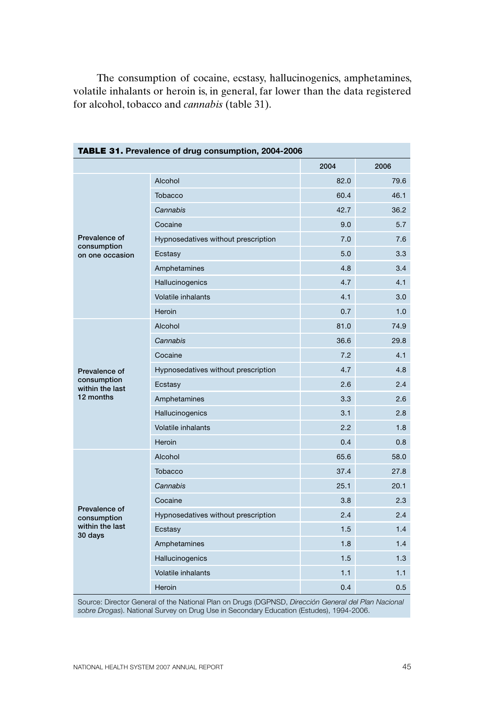The consumption of cocaine, ecstasy, hallucinogenics, amphetamines, volatile inhalants or heroin is, in general, far lower than the data registered for alcohol, tobacco and *cannabis* (table 31).

| <b>TABLE 31.</b> Prevalence of drug consumption, 2004-2006 |                                     |      |      |  |  |
|------------------------------------------------------------|-------------------------------------|------|------|--|--|
|                                                            |                                     | 2004 | 2006 |  |  |
|                                                            | Alcohol                             | 82.0 | 79.6 |  |  |
|                                                            | Tobacco                             | 60.4 | 46.1 |  |  |
|                                                            | Cannabis                            | 42.7 | 36.2 |  |  |
|                                                            | Cocaine                             | 9.0  | 5.7  |  |  |
| Prevalence of<br>consumption                               | Hypnosedatives without prescription | 7.0  | 7.6  |  |  |
| on one occasion                                            | Ecstasy                             | 5.0  | 3.3  |  |  |
|                                                            | Amphetamines                        | 4.8  | 3.4  |  |  |
|                                                            | Hallucinogenics                     | 4.7  | 4.1  |  |  |
|                                                            | <b>Volatile inhalants</b>           | 4.1  | 3.0  |  |  |
|                                                            | Heroin                              | 0.7  | 1.0  |  |  |
|                                                            | Alcohol                             | 81.0 | 74.9 |  |  |
|                                                            | Cannabis                            | 36.6 | 29.8 |  |  |
|                                                            | Cocaine                             | 7.2  | 4.1  |  |  |
| Prevalence of                                              | Hypnosedatives without prescription | 4.7  | 4.8  |  |  |
| consumption<br>within the last                             | Ecstasy                             | 2.6  | 2.4  |  |  |
| 12 months                                                  | Amphetamines                        | 3.3  | 2.6  |  |  |
|                                                            | Hallucinogenics                     | 3.1  | 2.8  |  |  |
|                                                            | <b>Volatile inhalants</b>           | 2.2  | 1.8  |  |  |
|                                                            | Heroin                              | 0.4  | 0.8  |  |  |
|                                                            | Alcohol                             | 65.6 | 58.0 |  |  |
|                                                            | Tobacco                             | 37.4 | 27.8 |  |  |
|                                                            | Cannabis                            | 25.1 | 20.1 |  |  |
|                                                            | Cocaine                             | 3.8  | 2.3  |  |  |
| Prevalence of<br>consumption                               | Hypnosedatives without prescription | 2.4  | 2.4  |  |  |
| within the last<br>30 days                                 | Ecstasy                             | 1.5  | 1.4  |  |  |
|                                                            | Amphetamines                        | 1.8  | 1.4  |  |  |
|                                                            | Hallucinogenics                     | 1.5  | 1.3  |  |  |
|                                                            | Volatile inhalants                  | 1.1  | 1.1  |  |  |
|                                                            | Heroin                              | 0.4  | 0.5  |  |  |

Source: Director General of the National Plan on Drugs (DGPNSD, *Dirección General del Plan Nacional sobre Drogas*). National Survey on Drug Use in Secondary Education (Estudes), 1994-2006.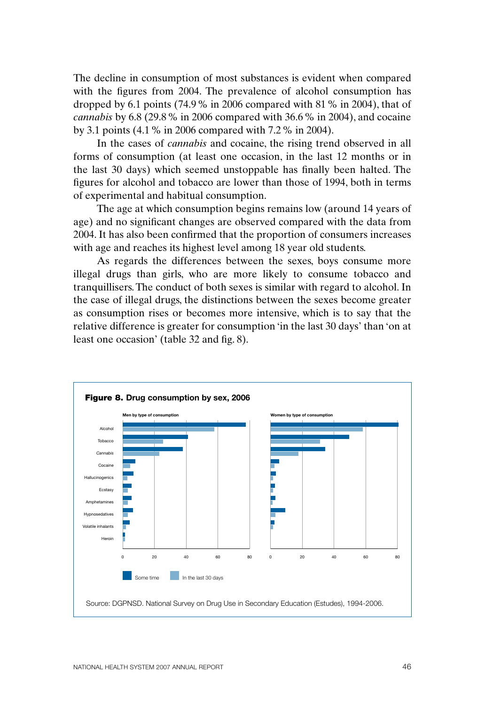The decline in consumption of most substances is evident when compared with the figures from 2004. The prevalence of alcohol consumption has dropped by 6.1 points (74.9% in 2006 compared with 81% in 2004), that of *cannabis* by 6.8 (29.8% in 2006 compared with 36.6% in 2004), and cocaine by 3.1 points (4.1% in 2006 compared with 7.2% in 2004).

In the cases of *cannabis* and cocaine, the rising trend observed in all forms of consumption (at least one occasion, in the last 12 months or in the last 30 days) which seemed unstoppable has finally been halted. The figures for alcohol and tobacco are lower than those of 1994, both in terms of experimental and habitual consumption.

The age at which consumption begins remains low (around 14 years of age) and no significant changes are observed compared with the data from 2004. It has also been confirmed that the proportion of consumers increases with age and reaches its highest level among 18 year old students.

As regards the differences between the sexes, boys consume more illegal drugs than girls, who are more likely to consume tobacco and tranquillisers. The conduct of both sexes is similar with regard to alcohol. In the case of illegal drugs, the distinctions between the sexes become greater as consumption rises or becomes more intensive, which is to say that the relative difference is greater for consumption 'in the last 30 days' than 'on at least one occasion' (table 32 and fig. 8).

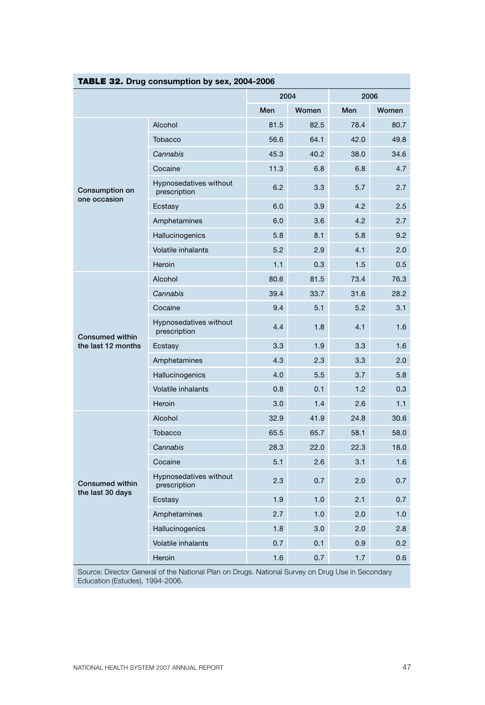| TABLE 32. Drug consumption by sex, 2004-2006 |                                        |      |       |      |       |  |
|----------------------------------------------|----------------------------------------|------|-------|------|-------|--|
|                                              |                                        | 2004 |       | 2006 |       |  |
|                                              |                                        | Men  | Women | Men  | Women |  |
|                                              | Alcohol                                | 81.5 | 82.5  | 78.4 | 80.7  |  |
|                                              | Tobacco                                | 56.6 | 64.1  | 42.0 | 49.8  |  |
|                                              | Cannabis                               | 45.3 | 40.2  | 38.0 | 34.6  |  |
|                                              | Cocaine                                | 11.3 | 6.8   | 6.8  | 4.7   |  |
| Consumption on<br>one occasion               | Hypnosedatives without<br>prescription | 6.2  | 3.3   | 5.7  | 2.7   |  |
|                                              | Ecstasy                                | 6.0  | 3.9   | 4.2  | 2.5   |  |
|                                              | Amphetamines                           | 6.0  | 3.6   | 4.2  | 2.7   |  |
|                                              | Hallucinogenics                        | 5.8  | 8.1   | 5.8  | 9.2   |  |
|                                              | <b>Volatile inhalants</b>              | 5.2  | 2.9   | 4.1  | 2.0   |  |
|                                              | Heroin                                 | 1.1  | 0.3   | 1.5  | 0.5   |  |
|                                              | Alcohol                                | 80.6 | 81.5  | 73.4 | 76.3  |  |
|                                              | Cannabis                               | 39.4 | 33.7  | 31.6 | 28.2  |  |
|                                              | Cocaine                                | 9.4  | 5.1   | 5.2  | 3.1   |  |
| <b>Consumed within</b><br>the last 12 months | Hypnosedatives without<br>prescription | 4.4  | 1.8   | 4.1  | 1.6   |  |
|                                              | Ecstasy                                | 3.3  | 1.9   | 3.3  | 1.6   |  |
|                                              | Amphetamines                           | 4.3  | 2.3   | 3.3  | 2.0   |  |
|                                              | Hallucinogenics                        | 4.0  | 5.5   | 3.7  | 5.8   |  |
|                                              | <b>Volatile inhalants</b>              | 0.8  | 0.1   | 1.2  | 0.3   |  |
|                                              | Heroin                                 | 3.0  | 1.4   | 2.6  | 1.1   |  |
|                                              | Alcohol                                | 32.9 | 41.9  | 24.8 | 30.6  |  |
|                                              | Tobacco                                | 65.5 | 65.7  | 58.1 | 58.0  |  |
|                                              | Cannabis                               | 28.3 | 22.0  | 22.3 | 18.0  |  |
| <b>Consumed within</b><br>the last 30 days   | Cocaine                                | 5.1  | 2.6   | 3.1  | 1.6   |  |
|                                              | Hypnosedatives without<br>prescription | 2.3  | 0.7   | 2.0  | 0.7   |  |
|                                              | Ecstasy                                | 1.9  | 1.0   | 2.1  | 0.7   |  |
|                                              | Amphetamines                           | 2.7  | 1.0   | 2.0  | 1.0   |  |
|                                              | Hallucinogenics                        | 1.8  | 3.0   | 2.0  | 2.8   |  |
|                                              | <b>Volatile inhalants</b>              | 0.7  | 0.1   | 0.9  | 0.2   |  |
|                                              | Heroin                                 | 1.6  | 0.7   | 1.7  | 0.6   |  |

Source: Director General of the National Plan on Drugs. National Survey on Drug Use in Secondary Education (Estudes), 1994-2006.